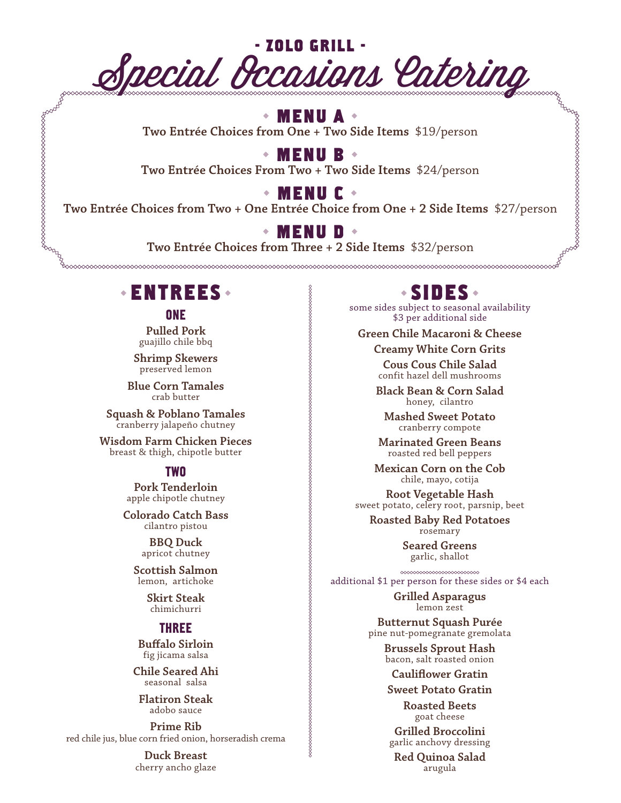

### **MENU A**

**Two Entrée Choices from One + Two Side Items** \$19/person

**MENU B**

**Two Entrée Choices From Two + Two Side Items** \$24/person

**MENU C**

**Two Entrée Choices from Two + One Entrée Choice from One + 2 Side Items** \$27/person

### **MENU D**

**Two Entrée Choices from Three + 2 Side Items** \$32/person

## **ENTREES**

#### **ONE**

**Pulled Pork** guajillo chile bbq

**Shrimp Skewers** preserved lemon

**Blue Corn Tamales** crab butter

**Squash & Poblano Tamales**  cranberry jalapeño chutney

**Wisdom Farm Chicken Pieces**  breast & thigh, chipotle butter

#### TWO

**Pork Tenderloin** apple chipotle chutney

**Colorado Catch Bass**  cilantro pistou

> **BBQ Duck**  apricot chutney

**Scottish Salmon**  lemon, artichoke

> **Skirt Steak**  chimichurri

#### THREE

**Buffalo Sirloin** fig jicama salsa

**Chile Seared Ahi**  seasonal salsa

**Flatiron Steak**  adobo sauce

**Prime Rib**  red chile jus, blue corn fried onion, horseradish crema

> **Duck Breast**  cherry ancho glaze

## **SIDES**

some sides subject to seasonal availability \$3 per additional side

**Green Chile Macaroni & Cheese** 

**Creamy White Corn Grits**

**Cous Cous Chile Salad**  confit hazel dell mushrooms

**Black Bean & Corn Salad**  honey, cilantro

**Mashed Sweet Potato**  cranberry compote

**Marinated Green Beans**  roasted red bell peppers

**Mexican Corn on the Cob**  chile, mayo, cotija

**Root Vegetable Hash**  sweet potato, celery root, parsnip, beet

**Roasted Baby Red Potatoes**  rosemary

> **Seared Greens**  garlic, shallot

additional \$1 per person for these sides or \$4 each

**Grilled Asparagus**  lemon zest

**Butternut Squash Purée**  pine nut-pomegranate gremolata

**Brussels Sprout Hash**  bacon, salt roasted onion

**Cauliflower Gratin**

**Sweet Potato Gratin** 

**Roasted Beets**  goat cheese

**Grilled Broccolini**  garlic anchovy dressing

**Red Quinoa Salad**  arugula